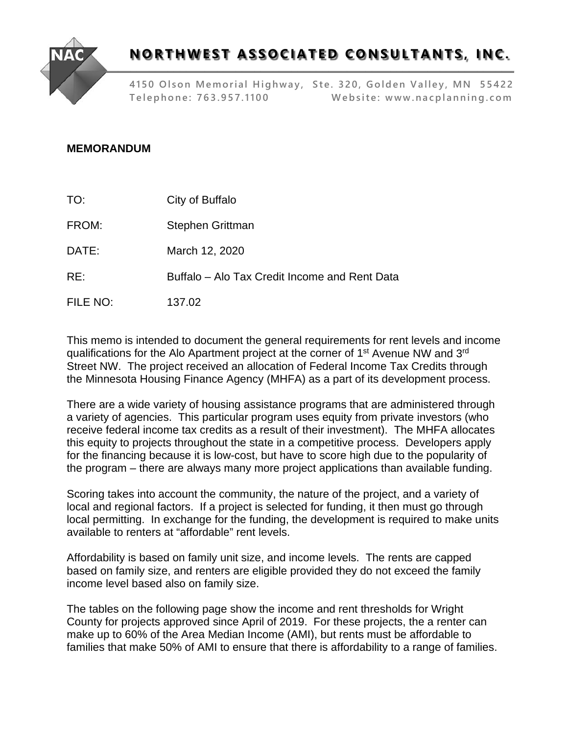

## **NORTHWEST ASSOCIATED CONSULTANTS, INC.**

**4150 Olson Memorial Highway, Ste. 320, Golden Valley, MN 55422 Telephone: 763.957.1100 Website: [www.nacplanning.com](http://www.nacplanning.com/)**

## **MEMORANDUM**

TO: City of Buffalo

FROM: Stephen Grittman

DATE: March 12, 2020

RE: Buffalo – Alo Tax Credit Income and Rent Data

FILE NO: 137.02

This memo is intended to document the general requirements for rent levels and income qualifications for the Alo Apartment project at the corner of 1<sup>st</sup> Avenue NW and 3<sup>rd</sup> Street NW. The project received an allocation of Federal Income Tax Credits through the Minnesota Housing Finance Agency (MHFA) as a part of its development process.

There are a wide variety of housing assistance programs that are administered through a variety of agencies. This particular program uses equity from private investors (who receive federal income tax credits as a result of their investment). The MHFA allocates this equity to projects throughout the state in a competitive process. Developers apply for the financing because it is low-cost, but have to score high due to the popularity of the program – there are always many more project applications than available funding.

Scoring takes into account the community, the nature of the project, and a variety of local and regional factors. If a project is selected for funding, it then must go through local permitting. In exchange for the funding, the development is required to make units available to renters at "affordable" rent levels.

Affordability is based on family unit size, and income levels. The rents are capped based on family size, and renters are eligible provided they do not exceed the family income level based also on family size.

The tables on the following page show the income and rent thresholds for Wright County for projects approved since April of 2019. For these projects, the a renter can make up to 60% of the Area Median Income (AMI), but rents must be affordable to families that make 50% of AMI to ensure that there is affordability to a range of families.